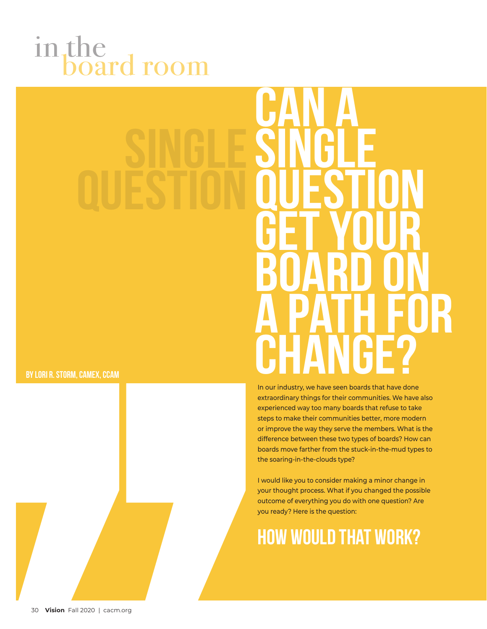## in the board room

## **Can A Single**

**By Lori R. Storm, CAMEx, CCAM**



In our industry, we have seen boards that have done extraordinary things for their communities. We have also experienced way too many boards that refuse to take steps to make their communities better, more modern or improve the way they serve the members. What is the difference between these two types of boards? How can boards move farther from the stuck-in-the-mud types to the soaring-in-the-clouds type?

I would like you to consider making a minor change in your thought process. What if you changed the possible outcome of everything you do with one question? Are you ready? Here is the question:

## **How would that work?**